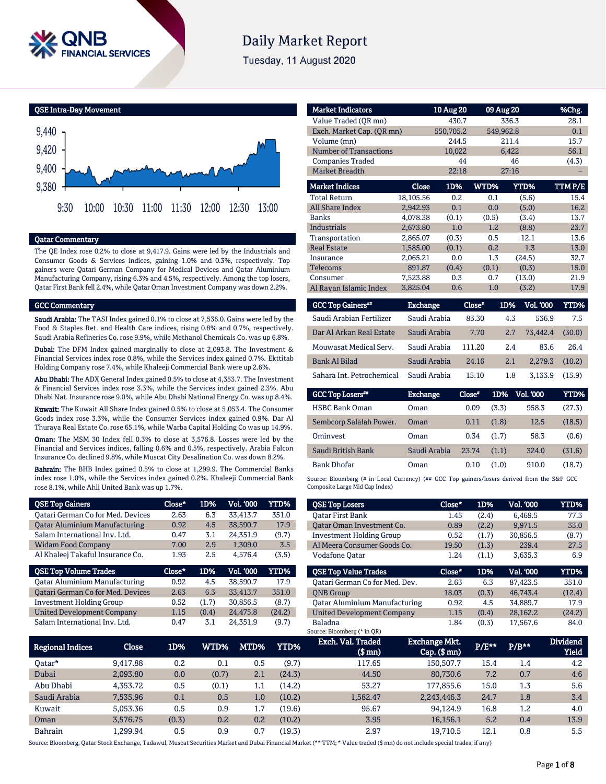

# **Daily Market Report**

Tuesday, 11 August 2020

QSE Intra-Day Movement



## Qatar Commentary

The QE Index rose 0.2% to close at 9,417.9. Gains were led by the Industrials and Consumer Goods & Services indices, gaining 1.0% and 0.3%, respectively. Top gainers were Qatari German Company for Medical Devices and Qatar Aluminium Manufacturing Company, rising 6.3% and 4.5%, respectively. Among the top losers, Qatar First Bank fell 2.4%, while Qatar Oman Investment Company was down 2.2%.

### GCC Commentary

Saudi Arabia: The TASI Index gained 0.1% to close at 7,536.0. Gains were led by the Food & Staples Ret. and Health Care indices, rising 0.8% and 0.7%, respectively. Saudi Arabia Refineries Co. rose 9.9%, while Methanol Chemicals Co. was up 6.8%.

Dubai: The DFM Index gained marginally to close at 2,093.8. The Investment & Financial Services index rose 0.8%, while the Services index gained 0.7%. Ekttitab Holding Company rose 7.4%, while Khaleeji Commercial Bank were up 2.6%.

Abu Dhabi: The ADX General Index gained 0.5% to close at 4,353.7. The Investment & Financial Services index rose 3.3%, while the Services index gained 2.3%. Abu Dhabi Nat. Insurance rose 9.0%, while Abu Dhabi National Energy Co. was up 8.4%.

Kuwait: The Kuwait All Share Index gained 0.5% to close at 5,053.4. The Consumer Goods index rose 3.3%, while the Consumer Services index gained 0.9%. Dar Al Thuraya Real Estate Co. rose 65.1%, while Warba Capital Holding Co was up 14.9%.

Oman: The MSM 30 Index fell 0.3% to close at 3,576.8. Losses were led by the Financial and Services indices, falling 0.6% and 0.5%, respectively. Arabia Falcon Insurance Co. declined 9.8%, while Muscat City Desalination Co. was down 8.2%.

Bahrain: The BHB Index gained 0.5% to close at 1,299.9. The Commercial Banks index rose 1.0%, while the Services index gained 0.2%. Khaleeji Commercial Bank rose 8.1%, while Ahli United Bank was up 1.7%.

| <b>QSE Top Gainers</b>                   | $Close*$ | 1D%   | Vol. '000 | <b>YTD%</b> |
|------------------------------------------|----------|-------|-----------|-------------|
| <b>Qatari German Co for Med. Devices</b> | 2.63     | 6.3   | 33,413.7  | 351.0       |
| <b>Qatar Aluminium Manufacturing</b>     | 0.92     | 4.5   | 38,590.7  | 17.9        |
| Salam International Inv. Ltd.            | 0.47     | 3.1   | 24,351.9  | (9.7)       |
| <b>Widam Food Company</b>                | 7.00     | 2.9   | 1,309.0   | 3.5         |
| Al Khaleej Takaful Insurance Co.         | 1.93     | 2.5   | 4,576.4   | (3.5)       |
|                                          |          |       |           |             |
| <b>QSE Top Volume Trades</b>             | Close*   | 1D%   | Vol. '000 | YTD%        |
| <b>Qatar Aluminium Manufacturing</b>     | 0.92     | 4.5   | 38.590.7  | 17.9        |
| Qatari German Co for Med. Devices        | 2.63     | 6.3   | 33,413.7  | 351.0       |
| <b>Investment Holding Group</b>          | 0.52     | (1.7) | 30.856.5  | (8.7)       |
| <b>United Development Company</b>        | 1.15     | (0.4) | 24,475.8  | (24.2)      |

| <b>Market Indicators</b>      |              | 10 Aug 20 |       | 09 Aug 20   | %Chg.  |
|-------------------------------|--------------|-----------|-------|-------------|--------|
|                               |              |           |       |             |        |
| Value Traded (OR mn)          |              | 430.7     |       | 336.3       | 28.1   |
| Exch. Market Cap. (QR mn)     |              | 550,705.2 |       | 549,962.8   | 0.1    |
| Volume (mn)                   |              | 244.5     |       | 211.4       | 15.7   |
| <b>Number of Transactions</b> |              | 10,022    |       | 6,422       | 56.1   |
| <b>Companies Traded</b>       |              | 44        |       | 46          | (4.3)  |
| <b>Market Breadth</b>         |              | 22:18     |       | 27:16       |        |
|                               |              |           |       |             |        |
| <b>Market Indices</b>         | <b>Close</b> | 1D%       | WTD%  | <b>YTD%</b> | TTMP/E |
| <b>Total Return</b>           | 18,105.56    | 0.2       | 0.1   | (5.6)       | 15.4   |
| <b>All Share Index</b>        | 2,942.93     | 0.1       | 0.0   | (5.0)       | 16.2   |
| <b>Banks</b>                  | 4,078.38     | (0.1)     | (0.5) | (3.4)       | 13.7   |
| <b>Industrials</b>            | 2,673.80     | 1.0       | 1.2   | (8.8)       | 23.7   |
| Transportation                | 2,865.07     | (0.3)     | 0.5   | 12.1        | 13.6   |
| <b>Real Estate</b>            | 1,585.00     | (0.1)     | 0.2   | 1.3         | 13.0   |
| Insurance                     | 2.065.21     | 0.0       | 1.3   | (24.5)      | 32.7   |
| Telecoms                      | 891.87       | (0.4)     | (0.1) | (0.3)       | 15.0   |
| Consumer                      | 7,523.88     | 0.3       | 0.7   | (13.0)      | 21.9   |
| Al Rayan Islamic Index        | 3.825.04     | 0.6       | 1.0   | (3.2)       | 17.9   |
|                               |              |           |       |             |        |

| <b>GCC Top Gainers</b>    | Exchange     | Close* | 1D% | <b>Vol. '000</b> | YTD%   |
|---------------------------|--------------|--------|-----|------------------|--------|
| Saudi Arabian Fertilizer  | Saudi Arabia | 83.30  | 4.3 | 536.9            | 7.5    |
| Dar Al Arkan Real Estate  | Saudi Arabia | 7.70   | 2.7 | 73.442.4         | (30.0) |
| Mouwasat Medical Serv.    | Saudi Arabia | 111.20 | 2.4 | 83.6             | 26.4   |
| Bank Al Bilad             | Saudi Arabia | 24.16  | 2.1 | 2.279.3          | (10.2) |
| Sahara Int. Petrochemical | Saudi Arabia | 15.10  | 1.8 | 3.133.9          | (15.9) |

| <b>GCC Top Losers"</b>  | <b>Exchange</b> | Close* | 1D%   | <b>Vol. '000</b> | YTD%   |
|-------------------------|-----------------|--------|-------|------------------|--------|
| <b>HSBC Bank Oman</b>   | Oman            | 0.09   | (3.3) | 958.3            | (27.3) |
| Sembcorp Salalah Power. | Oman            | 0.11   | (1.8) | 12.5             | (18.5) |
| Ominyest                | Oman            | 0.34   | (1.7) | 58.3             | (0.6)  |
| Saudi British Bank      | Saudi Arabia    | 23.74  | (1.1) | 324.0            | (31.6) |
| <b>Bank Dhofar</b>      | Oman            | 0.10   | (1.0) | 910.0            | (18.7) |

Source: Bloomberg (# in Local Currency) (## GCC Top gainers/losers derived from the S&P GCC Composite Large Mid Cap Index)

| <b>QSE Top Losers</b>                | Close* | 1D%   | <b>Vol. '000</b> | YTD%   |
|--------------------------------------|--------|-------|------------------|--------|
| <b>Oatar First Bank</b>              | 1.45   | (2.4) | 6.469.5          | 77.3   |
| Oatar Oman Investment Co.            | 0.89   | (2.2) | 9.971.5          | 33.0   |
| <b>Investment Holding Group</b>      | 0.52   | (1.7) | 30,856.5         | (8.7)  |
| Al Meera Consumer Goods Co.          | 19.50  | (1.3) | 239.4            | 27.5   |
| Vodafone Oatar                       | 1.24   | (1.1) | 3,635.3          | 6.9    |
|                                      |        |       |                  |        |
| <b>OSE Top Value Trades</b>          | Close* | 1D%   | Val. '000        | YTD%   |
| Oatari German Co for Med. Dev.       | 2.63   | 6.3   | 87.423.5         | 351.0  |
| <b>ONB</b> Group                     | 18.03  | (0.3) | 46.743.4         | (12.4) |
| <b>Qatar Aluminium Manufacturing</b> | 0.92   | 4.5   | 34.889.7         | 17.9   |
| <b>United Development Company</b>    | 1.15   | (0.4) | 28.162.2         | (24.2) |

| <b>Regional Indices</b> | Close    | 1D%   | WTD%  | MTD%    | YTD%   | Exch. Val. Traded<br>(\$ mn) | <b>Exchange Mkt.</b><br>$Cap.$ ( $$rm$ ) | $P/E**$ | $P/B**$ | <b>Dividend</b><br><b>Yield</b> |
|-------------------------|----------|-------|-------|---------|--------|------------------------------|------------------------------------------|---------|---------|---------------------------------|
| 0atar*                  | 9.417.88 | 0.2   | 0.1   | 0.5     | (9.7)  | 117.65                       | 150.507.7                                | 15.4    | 1.4     | 4.2                             |
| Dubai                   | 2,093.80 | 0.0   | (0.7) | 2.1     | (24.3) | 44.50                        | 80,730.6                                 | 7.2     | 0.7     | 4.6                             |
| Abu Dhabi               | 4.353.72 | 0.5   | (0.1) | 1.1     | (14.2) | 53.27                        | 177.855.6                                | 15.0    | 1.3     | 5.6                             |
| Saudi Arabia            | 7.535.96 | 0.1   | 0.5   | $1.0\,$ | (10.2) | 1.582.47                     | 2.243.446.3                              | 24.7    | 1.8     | 3.4                             |
| Kuwait                  | 5.053.36 | 0.5   | 0.9   | 1.7     | (19.6) | 95.67                        | 94.124.9                                 | 16.8    | $1.2\,$ | 4.0                             |
| Oman                    | 3.576.75 | (0.3) | 0.2   | 0.2     | (10.2) | 3.95                         | 16,156.1                                 | 5.2     | 0.4     | 13.9                            |
| Bahrain                 | .299.94  | 0.5   | 0.9   | 0.7     | (19.3) | 2.97                         | 19.710.5                                 | 12.1    | 0.8     | 5.5                             |

Source: Bloomberg, Qatar Stock Exchange, Tadawul, Muscat Securities Market and Dubai Financial Market (\*\* TTM; \* Value traded (\$ mn) do not include special trades, if any)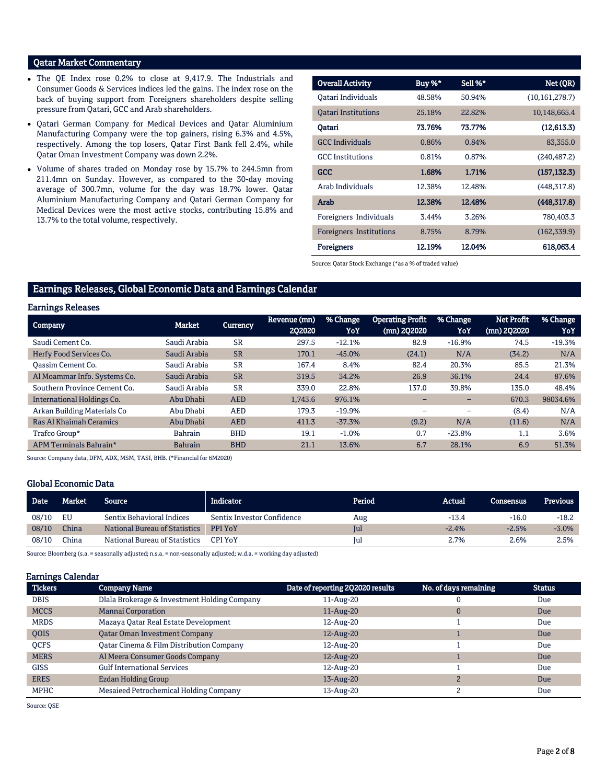## Qatar Market Commentary

- The QE Index rose 0.2% to close at 9,417.9. The Industrials and Consumer Goods & Services indices led the gains. The index rose on the back of buying support from Foreigners shareholders despite selling pressure from Qatari, GCC and Arab shareholders.
- Qatari German Company for Medical Devices and Qatar Aluminium Manufacturing Company were the top gainers, rising 6.3% and 4.5%, respectively. Among the top losers, Qatar First Bank fell 2.4%, while Qatar Oman Investment Company was down 2.2%.
- Volume of shares traded on Monday rose by 15.7% to 244.5mn from 211.4mn on Sunday. However, as compared to the 30-day moving average of 300.7mn, volume for the day was 18.7% lower. Qatar Aluminium Manufacturing Company and Qatari German Company for Medical Devices were the most active stocks, contributing 15.8% and 13.7% to the total volume, respectively.

| <b>Overall Activity</b>    | Buy %* | Sell %* | Net (QR)         |
|----------------------------|--------|---------|------------------|
| Oatari Individuals         | 48.58% | 50.94%  | (10, 161, 278.7) |
| <b>Oatari Institutions</b> | 25.18% | 22.82%  | 10,148,665.4     |
| Qatari                     | 73.76% | 73.77%  | (12,613.3)       |
| <b>GCC</b> Individuals     | 0.86%  | 0.84%   | 83,355.0         |
| <b>GCC</b> Institutions    | 0.81%  | 0.87%   | (240, 487.2)     |
| <b>GCC</b>                 | 1.68%  | 1.71%   | (157, 132.3)     |
| Arab Individuals           | 12.38% | 12.48%  | (448, 317.8)     |
| Arab                       | 12.38% | 12.48%  | (448, 317.8)     |
| Foreigners Individuals     | 3.44%  | 3.26%   | 780,403.3        |
| Foreigners Institutions    | 8.75%  | 8.79%   | (162, 339.9)     |
| <b>Foreigners</b>          | 12.19% | 12.04%  | 618,063.4        |

Source: Qatar Stock Exchange (\*as a % of traded value)

## Earnings Releases, Global Economic Data and Earnings Calendar

#### Earnings Releases

| <b>Company</b>                 | Market         | <b>Currency</b> | Revenue (mn)<br>2Q2020 | % Change<br>YoY | <b>Operating Profit</b><br>$(mn)$ 2Q2020 | % Change<br>YoY | <b>Net Profit</b><br>(mn) 2Q2020 | % Change<br>YoY |
|--------------------------------|----------------|-----------------|------------------------|-----------------|------------------------------------------|-----------------|----------------------------------|-----------------|
| Saudi Cement Co.               | Saudi Arabia   | <b>SR</b>       | 297.5                  | $-12.1%$        | 82.9                                     | $-16.9%$        | 74.5                             | $-19.3%$        |
| Herfy Food Services Co.        | Saudi Arabia   | <b>SR</b>       | 170.1                  | $-45.0%$        | (24.1)                                   | N/A             | (34.2)                           | N/A             |
| Oassim Cement Co.              | Saudi Arabia   | <b>SR</b>       | 167.4                  | 8.4%            | 82.4                                     | 20.3%           | 85.5                             | 21.3%           |
| Al Moammar Info. Systems Co.   | Saudi Arabia   | <b>SR</b>       | 319.5                  | 34.2%           | 26.9                                     | 36.1%           | 24.4                             | 87.6%           |
| Southern Province Cement Co.   | Saudi Arabia   | <b>SR</b>       | 339.0                  | 22.8%           | 137.0                                    | 39.8%           | 135.0                            | 48.4%           |
| International Holdings Co.     | Abu Dhabi      | <b>AED</b>      | 1.743.6                | 976.1%          |                                          |                 | 670.3                            | 98034.6%        |
| Arkan Building Materials Co    | Abu Dhabi      | <b>AED</b>      | 179.3                  | $-19.9%$        |                                          |                 | (8.4)                            | N/A             |
| <b>Ras Al Khaimah Ceramics</b> | Abu Dhabi      | <b>AED</b>      | 411.3                  | $-37.3%$        | (9.2)                                    | N/A             | (11.6)                           | N/A             |
| Trafco Group*                  | <b>Bahrain</b> | <b>BHD</b>      | 19.1                   | $-1.0%$         | 0.7                                      | $-23.8%$        | 1.1                              | 3.6%            |
| APM Terminals Bahrain*         | <b>Bahrain</b> | <b>BHD</b>      | 21.1                   | 13.6%           | 6.7                                      | 28.1%           | 6.9                              | 51.3%           |

Source: Company data, DFM, ADX, MSM, TASI, BHB. (\*Financial for 6M2020)

## Global Economic Data

| <b>Date</b> | <b>Market</b> | Source                           | Indicator                  | Period | Actual  | <b>Consensus</b> | <b>Previous</b> |
|-------------|---------------|----------------------------------|----------------------------|--------|---------|------------------|-----------------|
| 08/10       | EU            | <b>Sentix Behavioral Indices</b> | Sentix Investor Confidence | Aug    | $-13.4$ | $-16.0$          | $-18.2$         |
| 08/10       | China         | National Bureau of Statistics    | <b>PPI YoY</b>             | lul    | $-2.4%$ | $-2.5%$          | $-3.0%$         |
| 08/10       | China         | National Bureau of Statistics    | <b>CPI YoY</b>             | lul    | 2.7%    | 2.6%             | 2.5%            |

Source: Bloomberg (s.a. = seasonally adjusted; n.s.a. = non-seasonally adjusted; w.d.a. = working day adjusted)

## Earnings Calendar

| <b>Tickers</b> | <b>Company Name</b>                          | Date of reporting 2Q2020 results | No. of days remaining | <b>Status</b> |
|----------------|----------------------------------------------|----------------------------------|-----------------------|---------------|
| <b>DBIS</b>    | Dlala Brokerage & Investment Holding Company | 11-Aug-20                        |                       | Due           |
| <b>MCCS</b>    | <b>Mannai Corporation</b>                    | $11$ -Aug-20                     | 0                     | Due           |
| <b>MRDS</b>    | Mazaya Qatar Real Estate Development         | 12-Aug-20                        |                       | Due           |
| <b>OOIS</b>    | <b>Oatar Oman Investment Company</b>         | 12-Aug-20                        |                       | Due           |
| <b>OCFS</b>    | Oatar Cinema & Film Distribution Company     | 12-Aug-20                        |                       | Due           |
| <b>MERS</b>    | Al Meera Consumer Goods Company              | 12-Aug-20                        |                       | Due           |
| <b>GISS</b>    | <b>Gulf International Services</b>           | 12-Aug-20                        |                       | Due           |
| <b>ERES</b>    | Ezdan Holding Group                          | 13-Aug-20                        | $\overline{2}$        | Due           |
| <b>MPHC</b>    | Mesaieed Petrochemical Holding Company       | 13-Aug-20                        |                       | Due           |

Source: QSE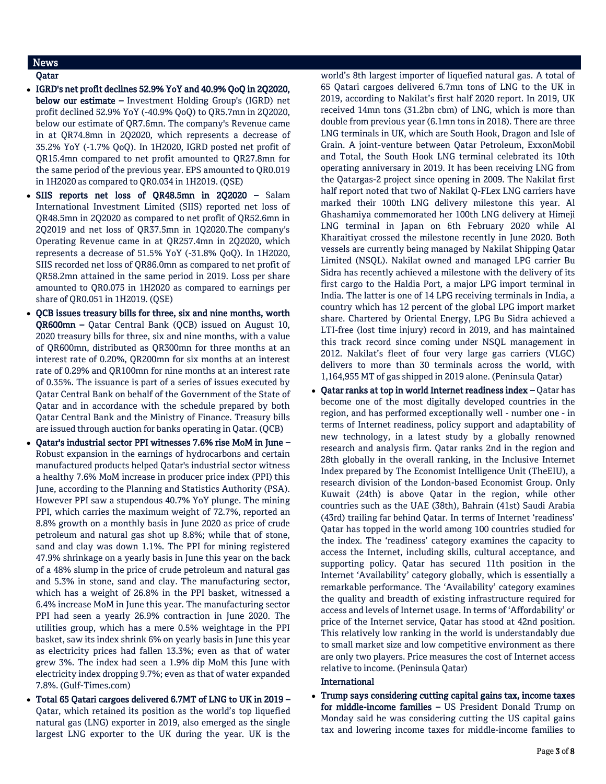## News

## Qatar

- IGRD's net profit declines 52.9% YoY and 40.9% QoQ in 2Q2020, below our estimate – Investment Holding Group's (IGRD) net profit declined 52.9% YoY (-40.9% QoQ) to QR5.7mn in 2Q2020, below our estimate of QR7.6mn. The company's Revenue came in at QR74.8mn in 2Q2020, which represents a decrease of 35.2% YoY (-1.7% QoQ). In 1H2020, IGRD posted net profit of QR15.4mn compared to net profit amounted to QR27.8mn for the same period of the previous year. EPS amounted to QR0.019 in 1H2020 as compared to QR0.034 in 1H2019. (QSE)
- SIIS reports net loss of QR48.5mn in 2Q2020 Salam International Investment Limited (SIIS) reported net loss of QR48.5mn in 2Q2020 as compared to net profit of QR52.6mn in 2Q2019 and net loss of QR37.5mn in 1Q2020.The company's Operating Revenue came in at QR257.4mn in 2Q2020, which represents a decrease of 51.5% YoY (-31.8% QoQ). In 1H2020, SIIS recorded net loss of QR86.0mn as compared to net profit of QR58.2mn attained in the same period in 2019. Loss per share amounted to QR0.075 in 1H2020 as compared to earnings per share of QR0.051 in 1H2019. (QSE)
- QCB issues treasury bills for three, six and nine months, worth QR600mn – Qatar Central Bank (QCB) issued on August 10, 2020 treasury bills for three, six and nine months, with a value of QR600mn, distributed as QR300mn for three months at an interest rate of 0.20%, QR200mn for six months at an interest rate of 0.29% and QR100mn for nine months at an interest rate of 0.35%. The issuance is part of a series of issues executed by Qatar Central Bank on behalf of the Government of the State of Qatar and in accordance with the schedule prepared by both Qatar Central Bank and the Ministry of Finance. Treasury bills are issued through auction for banks operating in Qatar. (QCB)
- Qatar's industrial sector PPI witnesses 7.6% rise MoM in June Robust expansion in the earnings of hydrocarbons and certain manufactured products helped Qatar's industrial sector witness a healthy 7.6% MoM increase in producer price index (PPI) this June, according to the Planning and Statistics Authority (PSA). However PPI saw a stupendous 40.7% YoY plunge. The mining PPI, which carries the maximum weight of 72.7%, reported an 8.8% growth on a monthly basis in June 2020 as price of crude petroleum and natural gas shot up 8.8%; while that of stone, sand and clay was down 1.1%. The PPI for mining registered 47.9% shrinkage on a yearly basis in June this year on the back of a 48% slump in the price of crude petroleum and natural gas and 5.3% in stone, sand and clay. The manufacturing sector, which has a weight of 26.8% in the PPI basket, witnessed a 6.4% increase MoM in June this year. The manufacturing sector PPI had seen a yearly 26.9% contraction in June 2020. The utilities group, which has a mere 0.5% weightage in the PPI basket, saw its index shrink 6% on yearly basis in June this year as electricity prices had fallen 13.3%; even as that of water grew 3%. The index had seen a 1.9% dip MoM this June with electricity index dropping 9.7%; even as that of water expanded 7.8%. (Gulf-Times.com)
- Total 65 Qatari cargoes delivered 6.7MT of LNG to UK in 2019 Qatar, which retained its position as the world's top liquefied natural gas (LNG) exporter in 2019, also emerged as the single largest LNG exporter to the UK during the year. UK is the

world's 8th largest importer of liquefied natural gas. A total of 65 Qatari cargoes delivered 6.7mn tons of LNG to the UK in 2019, according to Nakilat's first half 2020 report. In 2019, UK received 14mn tons (31.2bn cbm) of LNG, which is more than double from previous year (6.1mn tons in 2018). There are three LNG terminals in UK, which are South Hook, Dragon and Isle of Grain. A joint-venture between Qatar Petroleum, ExxonMobil and Total, the South Hook LNG terminal celebrated its 10th operating anniversary in 2019. It has been receiving LNG from the Qatargas-2 project since opening in 2009. The Nakilat first half report noted that two of Nakilat Q-FLex LNG carriers have marked their 100th LNG delivery milestone this year. Al Ghashamiya commemorated her 100th LNG delivery at Himeji LNG terminal in Japan on 6th February 2020 while Al Kharaitiyat crossed the milestone recently in June 2020. Both vessels are currently being managed by Nakilat Shipping Qatar Limited (NSQL). Nakilat owned and managed LPG carrier Bu Sidra has recently achieved a milestone with the delivery of its first cargo to the Haldia Port, a major LPG import terminal in India. The latter is one of 14 LPG receiving terminals in India, a country which has 12 percent of the global LPG import market share. Chartered by Oriental Energy, LPG Bu Sidra achieved a LTI-free (lost time injury) record in 2019, and has maintained this track record since coming under NSQL management in 2012. Nakilat's fleet of four very large gas carriers (VLGC) delivers to more than 30 terminals across the world, with 1,164,955 MT of gas shipped in 2019 alone. (Peninsula Qatar)

 Qatar ranks at top in world Internet readiness index – Qatar has become one of the most digitally developed countries in the region, and has performed exceptionally well - number one - in terms of Internet readiness, policy support and adaptability of new technology, in a latest study by a globally renowned research and analysis firm. Qatar ranks 2nd in the region and 28th globally in the overall ranking, in the Inclusive Internet Index prepared by The Economist Intelligence Unit (TheEIU), a research division of the London-based Economist Group. Only Kuwait (24th) is above Qatar in the region, while other countries such as the UAE (38th), Bahrain (41st) Saudi Arabia (43rd) trailing far behind Qatar. In terms of Internet 'readiness' Qatar has topped in the world among 100 countries studied for the index. The 'readiness' category examines the capacity to access the Internet, including skills, cultural acceptance, and supporting policy. Qatar has secured 11th position in the Internet 'Availability' category globally, which is essentially a remarkable performance. The 'Availability' category examines the quality and breadth of existing infrastructure required for access and levels of Internet usage. In terms of 'Affordability' or price of the Internet service, Qatar has stood at 42nd position. This relatively low ranking in the world is understandably due to small market size and low competitive environment as there are only two players. Price measures the cost of Internet access relative to income. (Peninsula Qatar)

## International

 Trump says considering cutting capital gains tax, income taxes for middle-income families – US President Donald Trump on Monday said he was considering cutting the US capital gains tax and lowering income taxes for middle-income families to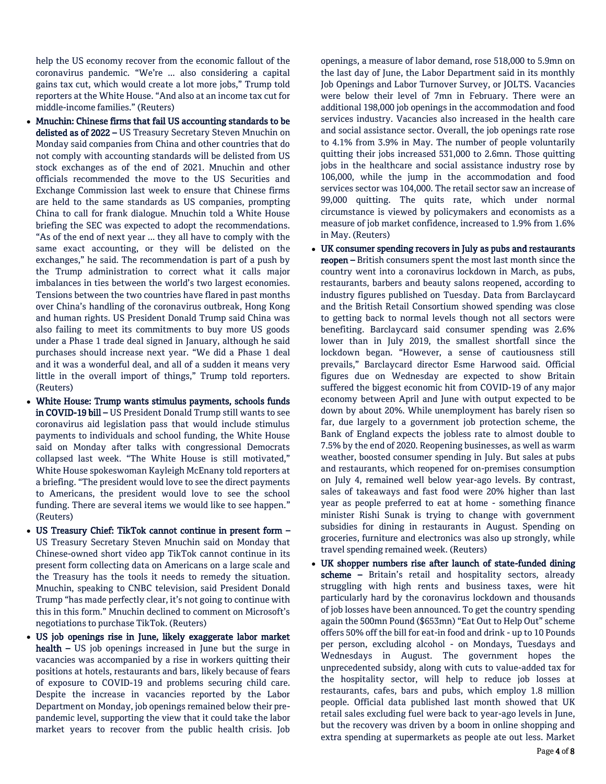help the US economy recover from the economic fallout of the coronavirus pandemic. "We're ... also considering a capital gains tax cut, which would create a lot more jobs," Trump told reporters at the White House. "And also at an income tax cut for middle-income families." (Reuters)

- Mnuchin: Chinese firms that fail US accounting standards to be delisted as of 2022 - US Treasury Secretary Steven Mnuchin on Monday said companies from China and other countries that do not comply with accounting standards will be delisted from US stock exchanges as of the end of 2021. Mnuchin and other officials recommended the move to the US Securities and Exchange Commission last week to ensure that Chinese firms are held to the same standards as US companies, prompting China to call for frank dialogue. Mnuchin told a White House briefing the SEC was expected to adopt the recommendations. "As of the end of next year ... they all have to comply with the same exact accounting, or they will be delisted on the exchanges," he said. The recommendation is part of a push by the Trump administration to correct what it calls major imbalances in ties between the world's two largest economies. Tensions between the two countries have flared in past months over China's handling of the coronavirus outbreak, Hong Kong and human rights. US President Donald Trump said China was also failing to meet its commitments to buy more US goods under a Phase 1 trade deal signed in January, although he said purchases should increase next year. "We did a Phase 1 deal and it was a wonderful deal, and all of a sudden it means very little in the overall import of things," Trump told reporters. (Reuters)
- White House: Trump wants stimulus payments, schools funds in COVID-19 bill – US President Donald Trump still wants to see coronavirus aid legislation pass that would include stimulus payments to individuals and school funding, the White House said on Monday after talks with congressional Democrats collapsed last week. "The White House is still motivated," White House spokeswoman Kayleigh McEnany told reporters at a briefing. "The president would love to see the direct payments to Americans, the president would love to see the school funding. There are several items we would like to see happen." (Reuters)
- US Treasury Chief: TikTok cannot continue in present form US Treasury Secretary Steven Mnuchin said on Monday that Chinese-owned short video app TikTok cannot continue in its present form collecting data on Americans on a large scale and the Treasury has the tools it needs to remedy the situation. Mnuchin, speaking to CNBC television, said President Donald Trump "has made perfectly clear, it's not going to continue with this in this form." Mnuchin declined to comment on Microsoft's negotiations to purchase TikTok. (Reuters)
- US job openings rise in June, likely exaggerate labor market health – US job openings increased in June but the surge in vacancies was accompanied by a rise in workers quitting their positions at hotels, restaurants and bars, likely because of fears of exposure to COVID-19 and problems securing child care. Despite the increase in vacancies reported by the Labor Department on Monday, job openings remained below their prepandemic level, supporting the view that it could take the labor market years to recover from the public health crisis. Job

openings, a measure of labor demand, rose 518,000 to 5.9mn on the last day of June, the Labor Department said in its monthly Job Openings and Labor Turnover Survey, or JOLTS. Vacancies were below their level of 7mn in February. There were an additional 198,000 job openings in the accommodation and food services industry. Vacancies also increased in the health care and social assistance sector. Overall, the job openings rate rose to 4.1% from 3.9% in May. The number of people voluntarily quitting their jobs increased 531,000 to 2.6mn. Those quitting jobs in the healthcare and social assistance industry rose by 106,000, while the jump in the accommodation and food services sector was 104,000. The retail sector saw an increase of 99,000 quitting. The quits rate, which under normal circumstance is viewed by policymakers and economists as a measure of job market confidence, increased to 1.9% from 1.6% in May. (Reuters)

- UK consumer spending recovers in July as pubs and restaurants reopen – British consumers spent the most last month since the country went into a coronavirus lockdown in March, as pubs, restaurants, barbers and beauty salons reopened, according to industry figures published on Tuesday. Data from Barclaycard and the British Retail Consortium showed spending was close to getting back to normal levels though not all sectors were benefiting. Barclaycard said consumer spending was 2.6% lower than in July 2019, the smallest shortfall since the lockdown began. "However, a sense of cautiousness still prevails," Barclaycard director Esme Harwood said. Official figures due on Wednesday are expected to show Britain suffered the biggest economic hit from COVID-19 of any major economy between April and June with output expected to be down by about 20%. While unemployment has barely risen so far, due largely to a government job protection scheme, the Bank of England expects the jobless rate to almost double to 7.5% by the end of 2020. Reopening businesses, as well as warm weather, boosted consumer spending in July. But sales at pubs and restaurants, which reopened for on-premises consumption on July 4, remained well below year-ago levels. By contrast, sales of takeaways and fast food were 20% higher than last year as people preferred to eat at home - something finance minister Rishi Sunak is trying to change with government subsidies for dining in restaurants in August. Spending on groceries, furniture and electronics was also up strongly, while travel spending remained week. (Reuters)
- UK shopper numbers rise after launch of state-funded dining scheme - Britain's retail and hospitality sectors, already struggling with high rents and business taxes, were hit particularly hard by the coronavirus lockdown and thousands of job losses have been announced. To get the country spending again the 500mn Pound (\$653mn) "Eat Out to Help Out" scheme offers 50% off the bill for eat-in food and drink - up to 10 Pounds per person, excluding alcohol - on Mondays, Tuesdays and Wednesdays in August. The government hopes the unprecedented subsidy, along with cuts to value-added tax for the hospitality sector, will help to reduce job losses at restaurants, cafes, bars and pubs, which employ 1.8 million people. Official data published last month showed that UK retail sales excluding fuel were back to year-ago levels in June, but the recovery was driven by a boom in online shopping and extra spending at supermarkets as people ate out less. Market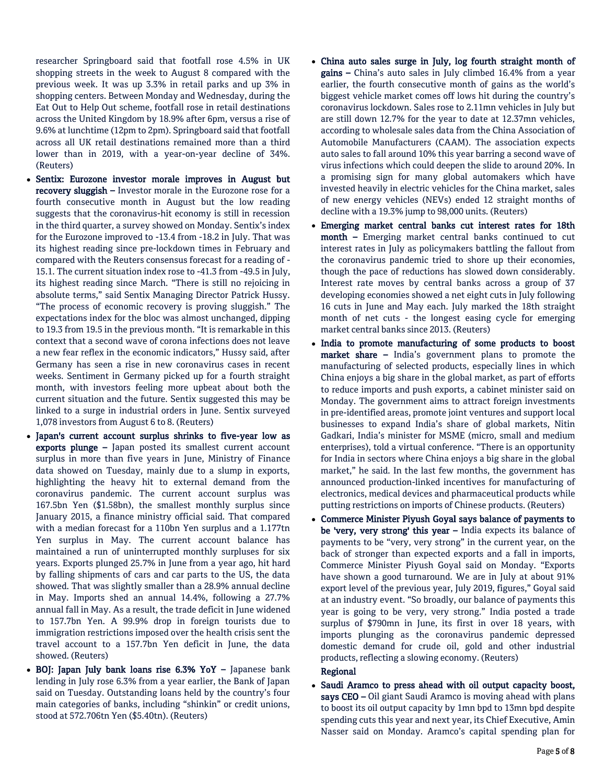researcher Springboard said that footfall rose 4.5% in UK shopping streets in the week to August 8 compared with the previous week. It was up 3.3% in retail parks and up 3% in shopping centers. Between Monday and Wednesday, during the Eat Out to Help Out scheme, footfall rose in retail destinations across the United Kingdom by 18.9% after 6pm, versus a rise of 9.6% at lunchtime (12pm to 2pm). Springboard said that footfall across all UK retail destinations remained more than a third lower than in 2019, with a year-on-year decline of 34%. (Reuters)

- Sentix: Eurozone investor morale improves in August but recovery sluggish – Investor morale in the Eurozone rose for a fourth consecutive month in August but the low reading suggests that the coronavirus-hit economy is still in recession in the third quarter, a survey showed on Monday. Sentix's index for the Eurozone improved to -13.4 from -18.2 in July. That was its highest reading since pre-lockdown times in February and compared with the Reuters consensus forecast for a reading of - 15.1. The current situation index rose to -41.3 from -49.5 in July, its highest reading since March. "There is still no rejoicing in absolute terms," said Sentix Managing Director Patrick Hussy. "The process of economic recovery is proving sluggish." The expectations index for the bloc was almost unchanged, dipping to 19.3 from 19.5 in the previous month. "It is remarkable in this context that a second wave of corona infections does not leave a new fear reflex in the economic indicators," Hussy said, after Germany has seen a rise in new coronavirus cases in recent weeks. Sentiment in Germany picked up for a fourth straight month, with investors feeling more upbeat about both the current situation and the future. Sentix suggested this may be linked to a surge in industrial orders in June. Sentix surveyed 1,078 investors from August 6 to 8. (Reuters)
- Japan's current account surplus shrinks to five-year low as exports plunge – Japan posted its smallest current account surplus in more than five years in June, Ministry of Finance data showed on Tuesday, mainly due to a slump in exports, highlighting the heavy hit to external demand from the coronavirus pandemic. The current account surplus was 167.5bn Yen (\$1.58bn), the smallest monthly surplus since January 2015, a finance ministry official said. That compared with a median forecast for a 110bn Yen surplus and a 1.177tn Yen surplus in May. The current account balance has maintained a run of uninterrupted monthly surpluses for six years. Exports plunged 25.7% in June from a year ago, hit hard by falling shipments of cars and car parts to the US, the data showed. That was slightly smaller than a 28.9% annual decline in May. Imports shed an annual 14.4%, following a 27.7% annual fall in May. As a result, the trade deficit in June widened to 157.7bn Yen. A 99.9% drop in foreign tourists due to immigration restrictions imposed over the health crisis sent the travel account to a 157.7bn Yen deficit in June, the data showed. (Reuters)
- BOJ: Japan July bank loans rise 6.3% YoY Japanese bank lending in July rose 6.3% from a year earlier, the Bank of Japan said on Tuesday. Outstanding loans held by the country's four main categories of banks, including "shinkin" or credit unions, stood at 572.706tn Yen (\$5.40tn). (Reuters)
- China auto sales surge in July, log fourth straight month of gains – China's auto sales in July climbed 16.4% from a year earlier, the fourth consecutive month of gains as the world's biggest vehicle market comes off lows hit during the country's coronavirus lockdown. Sales rose to 2.11mn vehicles in July but are still down 12.7% for the year to date at 12.37mn vehicles, according to wholesale sales data from the China Association of Automobile Manufacturers (CAAM). The association expects auto sales to fall around 10% this year barring a second wave of virus infections which could deepen the slide to around 20%. In a promising sign for many global automakers which have invested heavily in electric vehicles for the China market, sales of new energy vehicles (NEVs) ended 12 straight months of decline with a 19.3% jump to 98,000 units. (Reuters)
- Emerging market central banks cut interest rates for 18th month – Emerging market central banks continued to cut interest rates in July as policymakers battling the fallout from the coronavirus pandemic tried to shore up their economies, though the pace of reductions has slowed down considerably. Interest rate moves by central banks across a group of 37 developing economies showed a net eight cuts in July following 16 cuts in June and May each. July marked the 18th straight month of net cuts - the longest easing cycle for emerging market central banks since 2013. (Reuters)
- India to promote manufacturing of some products to boost market share - India's government plans to promote the manufacturing of selected products, especially lines in which China enjoys a big share in the global market, as part of efforts to reduce imports and push exports, a cabinet minister said on Monday. The government aims to attract foreign investments in pre-identified areas, promote joint ventures and support local businesses to expand India's share of global markets, Nitin Gadkari, India's minister for MSME (micro, small and medium enterprises), told a virtual conference. "There is an opportunity for India in sectors where China enjoys a big share in the global market," he said. In the last few months, the government has announced production-linked incentives for manufacturing of electronics, medical devices and pharmaceutical products while putting restrictions on imports of Chinese products. (Reuters)
- Commerce Minister Piyush Goyal says balance of payments to be 'very, very strong' this year - India expects its balance of payments to be "very, very strong" in the current year, on the back of stronger than expected exports and a fall in imports, Commerce Minister Piyush Goyal said on Monday. "Exports have shown a good turnaround. We are in July at about 91% export level of the previous year, July 2019, figures," Goyal said at an industry event. "So broadly, our balance of payments this year is going to be very, very strong." India posted a trade surplus of \$790mn in June, its first in over 18 years, with imports plunging as the coronavirus pandemic depressed domestic demand for crude oil, gold and other industrial products, reflecting a slowing economy. (Reuters)

## Regional

 Saudi Aramco to press ahead with oil output capacity boost, says CEO - Oil giant Saudi Aramco is moving ahead with plans to boost its oil output capacity by 1mn bpd to 13mn bpd despite spending cuts this year and next year, its Chief Executive, Amin Nasser said on Monday. Aramco's capital spending plan for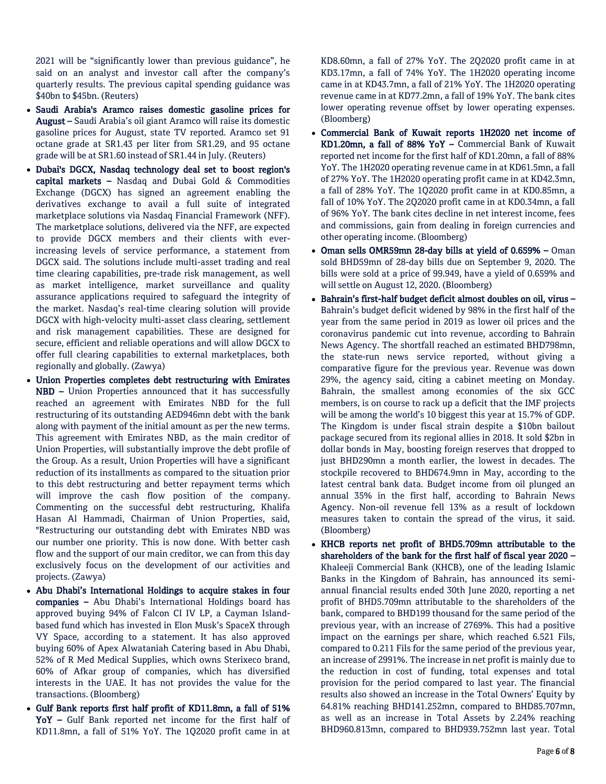2021 will be "significantly lower than previous guidance", he said on an analyst and investor call after the company's quarterly results. The previous capital spending guidance was \$40bn to \$45bn. (Reuters)

- Saudi Arabia's Aramco raises domestic gasoline prices for August – Saudi Arabia's oil giant Aramco will raise its domestic gasoline prices for August, state TV reported. Aramco set 91 octane grade at SR1.43 per liter from SR1.29, and 95 octane grade will be at SR1.60 instead of SR1.44 in July. (Reuters)
- Dubai's DGCX, Nasdaq technology deal set to boost region's capital markets – Nasdaq and Dubai Gold & Commodities Exchange (DGCX) has signed an agreement enabling the derivatives exchange to avail a full suite of integrated marketplace solutions via Nasdaq Financial Framework (NFF). The marketplace solutions, delivered via the NFF, are expected to provide DGCX members and their clients with everincreasing levels of service performance, a statement from DGCX said. The solutions include multi-asset trading and real time clearing capabilities, pre-trade risk management, as well as market intelligence, market surveillance and quality assurance applications required to safeguard the integrity of the market. Nasdaq's real-time clearing solution will provide DGCX with high-velocity multi-asset class clearing, settlement and risk management capabilities. These are designed for secure, efficient and reliable operations and will allow DGCX to offer full clearing capabilities to external marketplaces, both regionally and globally. (Zawya)
- Union Properties completes debt restructuring with Emirates NBD – Union Properties announced that it has successfully reached an agreement with Emirates NBD for the full restructuring of its outstanding AED946mn debt with the bank along with payment of the initial amount as per the new terms. This agreement with Emirates NBD, as the main creditor of Union Properties, will substantially improve the debt profile of the Group. As a result, Union Properties will have a significant reduction of its installments as compared to the situation prior to this debt restructuring and better repayment terms which will improve the cash flow position of the company. Commenting on the successful debt restructuring, Khalifa Hasan Al Hammadi, Chairman of Union Properties, said, "Restructuring our outstanding debt with Emirates NBD was our number one priority. This is now done. With better cash flow and the support of our main creditor, we can from this day exclusively focus on the development of our activities and projects. (Zawya)
- Abu Dhabi's International Holdings to acquire stakes in four companies – Abu Dhabi's International Holdings board has approved buying 94% of Falcon CI IV LP, a Cayman Islandbased fund which has invested in Elon Musk's SpaceX through VY Space, according to a statement. It has also approved buying 60% of Apex Alwataniah Catering based in Abu Dhabi, 52% of R Med Medical Supplies, which owns Sterixeco brand, 60% of Afkar group of companies, which has diversified interests in the UAE. It has not provides the value for the transactions. (Bloomberg)
- Gulf Bank reports first half profit of KD11.8mn, a fall of 51% YoY – Gulf Bank reported net income for the first half of KD11.8mn, a fall of 51% YoY. The 1Q2020 profit came in at

KD8.60mn, a fall of 27% YoY. The 2Q2020 profit came in at KD3.17mn, a fall of 74% YoY. The 1H2020 operating income came in at KD43.7mn, a fall of 21% YoY. The 1H2020 operating revenue came in at KD77.2mn, a fall of 19% YoY. The bank cites lower operating revenue offset by lower operating expenses. (Bloomberg)

- Commercial Bank of Kuwait reports 1H2020 net income of KD1.20mn, a fall of 88% YoY – Commercial Bank of Kuwait reported net income for the first half of KD1.20mn, a fall of 88% YoY. The 1H2020 operating revenue came in at KD61.5mn, a fall of 27% YoY. The 1H2020 operating profit came in at KD42.3mn, a fall of 28% YoY. The 1Q2020 profit came in at KD0.85mn, a fall of 10% YoY. The 2Q2020 profit came in at KD0.34mn, a fall of 96% YoY. The bank cites decline in net interest income, fees and commissions, gain from dealing in foreign currencies and other operating income. (Bloomberg)
- Oman sells OMR59mn 28-day bills at yield of 0.659% Oman sold BHD59mn of 28-day bills due on September 9, 2020. The bills were sold at a price of 99.949, have a yield of 0.659% and will settle on August 12, 2020. (Bloomberg)
- Bahrain's first-half budget deficit almost doubles on oil, virus Bahrain's budget deficit widened by 98% in the first half of the year from the same period in 2019 as lower oil prices and the coronavirus pandemic cut into revenue, according to Bahrain News Agency. The shortfall reached an estimated BHD798mn, the state-run news service reported, without giving a comparative figure for the previous year. Revenue was down 29%, the agency said, citing a cabinet meeting on Monday. Bahrain, the smallest among economies of the six GCC members, is on course to rack up a deficit that the IMF projects will be among the world's 10 biggest this year at 15.7% of GDP. The Kingdom is under fiscal strain despite a \$10bn bailout package secured from its regional allies in 2018. It sold \$2bn in dollar bonds in May, boosting foreign reserves that dropped to just BHD290mn a month earlier, the lowest in decades. The stockpile recovered to BHD674.9mn in May, according to the latest central bank data. Budget income from oil plunged an annual 35% in the first half, according to Bahrain News Agency. Non-oil revenue fell 13% as a result of lockdown measures taken to contain the spread of the virus, it said. (Bloomberg)
- KHCB reports net profit of BHD5.709mn attributable to the shareholders of the bank for the first half of fiscal year 2020 – Khaleeji Commercial Bank (KHCB), one of the leading Islamic Banks in the Kingdom of Bahrain, has announced its semiannual financial results ended 30th June 2020, reporting a net profit of BHD5.709mn attributable to the shareholders of the bank, compared to BHD199 thousand for the same period of the previous year, with an increase of 2769%. This had a positive impact on the earnings per share, which reached 6.521 Fils, compared to 0.211 Fils for the same period of the previous year, an increase of 2991%. The increase in net profit is mainly due to the reduction in cost of funding, total expenses and total provision for the period compared to last year. The financial results also showed an increase in the Total Owners' Equity by 64.81% reaching BHD141.252mn, compared to BHD85.707mn, as well as an increase in Total Assets by 2.24% reaching BHD960.813mn, compared to BHD939.752mn last year. Total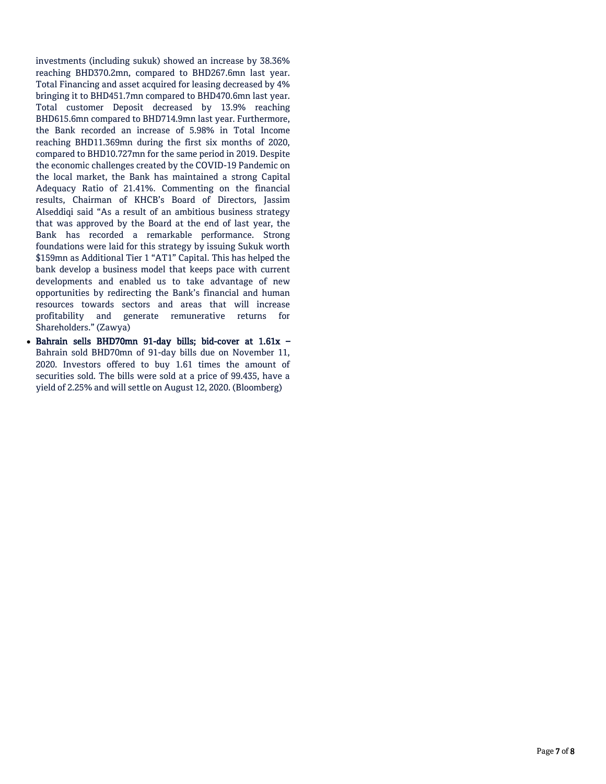investments (including sukuk) showed an increase by 38.36% reaching BHD370.2mn, compared to BHD267.6mn last year. Total Financing and asset acquired for leasing decreased by 4% bringing it to BHD451.7mn compared to BHD470.6mn last year. Total customer Deposit decreased by 13.9% reaching BHD615.6mn compared to BHD714.9mn last year. Furthermore, the Bank recorded an increase of 5.98% in Total Income reaching BHD11.369mn during the first six months of 2020, compared to BHD10.727mn for the same period in 2019. Despite the economic challenges created by the COVID-19 Pandemic on the local market, the Bank has maintained a strong Capital Adequacy Ratio of 21.41%. Commenting on the financial results, Chairman of KHCB's Board of Directors, Jassim Alseddiqi said "As a result of an ambitious business strategy that was approved by the Board at the end of last year, the Bank has recorded a remarkable performance. Strong foundations were laid for this strategy by issuing Sukuk worth \$159mn as Additional Tier 1 "AT1" Capital. This has helped the bank develop a business model that keeps pace with current developments and enabled us to take advantage of new opportunities by redirecting the Bank's financial and human resources towards sectors and areas that will increase profitability and generate remunerative returns for Shareholders." (Zawya)

 Bahrain sells BHD70mn 91-day bills; bid-cover at 1.61x – Bahrain sold BHD70mn of 91-day bills due on November 11, 2020. Investors offered to buy 1.61 times the amount of securities sold. The bills were sold at a price of 99.435, have a yield of 2.25% and will settle on August 12, 2020. (Bloomberg)